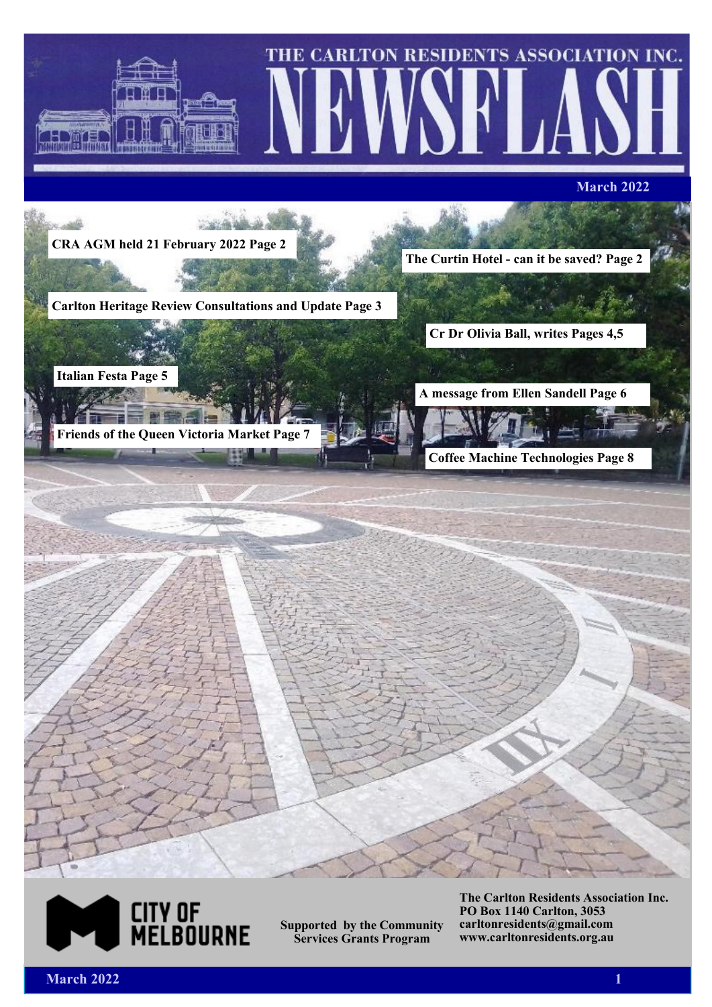



**Supported by the Community Services Grants Program**

**The Carlton Residents Association Inc. PO Box 1140 Carlton, 3053 carltonresidents@gmail.com www.carltonresidents.org.au**

*March* **2022 19:00 19:00 19:00 19:00 19:00 19:00 19:00 19:00 19:00 19:00 19:00 19:00 19:00 19:00 19:00 19:00 19:00 19:00 19:00 19:00 19:00 19:00 19:00 19:00 19:00 19:00 19:00 19:00 19:00 19:00 19:00 19:00 19:00 19:00 19:0**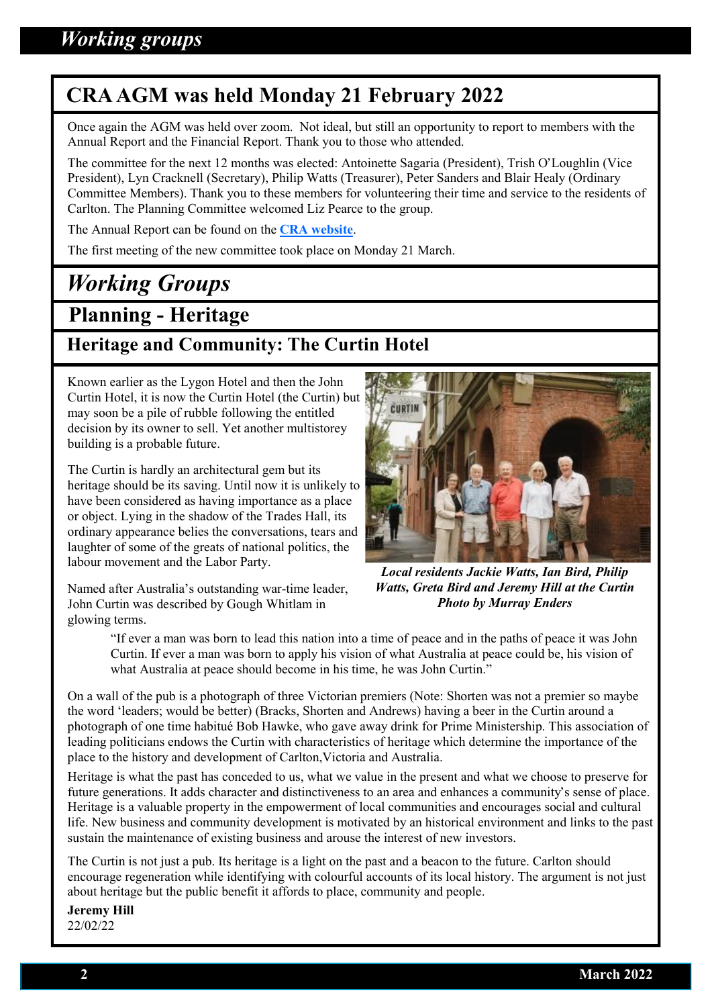## **CRA AGM was held Monday 21 February 2022**

Once again the AGM was held over zoom. Not ideal, but still an opportunity to report to members with the Annual Report and the Financial Report. Thank you to those who attended.

The committee for the next 12 months was elected: Antoinette Sagaria (President), Trish O'Loughlin (Vice President), Lyn Cracknell (Secretary), Philip Watts (Treasurer), Peter Sanders and Blair Healy (Ordinary Committee Members). Thank you to these members for volunteering their time and service to the residents of Carlton. The Planning Committee welcomed Liz Pearce to the group.

The Annual Report can be found on the **[CRA website](https://www.carltonresidents.org.au/cra-2012/meetings/)**.

The first meeting of the new committee took place on Monday 21 March.

# *Working Groups*

## **Planning - Heritage**

## **Heritage and Community: The Curtin Hotel**

Known earlier as the Lygon Hotel and then the John Curtin Hotel, it is now the Curtin Hotel (the Curtin) but may soon be a pile of rubble following the entitled decision by its owner to sell. Yet another multistorey building is a probable future.

The Curtin is hardly an architectural gem but its heritage should be its saving. Until now it is unlikely to have been considered as having importance as a place or object. Lying in the shadow of the Trades Hall, its ordinary appearance belies the conversations, tears and laughter of some of the greats of national politics, the labour movement and the Labor Party.

Named after Australia's outstanding war-time leader, John Curtin was described by Gough Whitlam in glowing terms.



*Local residents Jackie Watts, Ian Bird, Philip Watts, Greta Bird and Jeremy Hill at the Curtin Photo by Murray Enders*

"If ever a man was born to lead this nation into a time of peace and in the paths of peace it was John Curtin. If ever a man was born to apply his vision of what Australia at peace could be, his vision of what Australia at peace should become in his time, he was John Curtin."

On a wall of the pub is a photograph of three Victorian premiers (Note: Shorten was not a premier so maybe the word 'leaders; would be better) (Bracks, Shorten and Andrews) having a beer in the Curtin around a photograph of one time habitué Bob Hawke, who gave away drink for Prime Ministership. This association of leading politicians endows the Curtin with characteristics of heritage which determine the importance of the place to the history and development of Carlton,Victoria and Australia.

Heritage is what the past has conceded to us, what we value in the present and what we choose to preserve for future generations. It adds character and distinctiveness to an area and enhances a community's sense of place. Heritage is a valuable property in the empowerment of local communities and encourages social and cultural life. New business and community development is motivated by an historical environment and links to the past sustain the maintenance of existing business and arouse the interest of new investors.

The Curtin is not just a pub. Its heritage is a light on the past and a beacon to the future. Carlton should encourage regeneration while identifying with colourful accounts of its local history. The argument is not just about heritage but the public benefit it affords to place, community and people.

**Jeremy Hill** 22/02/22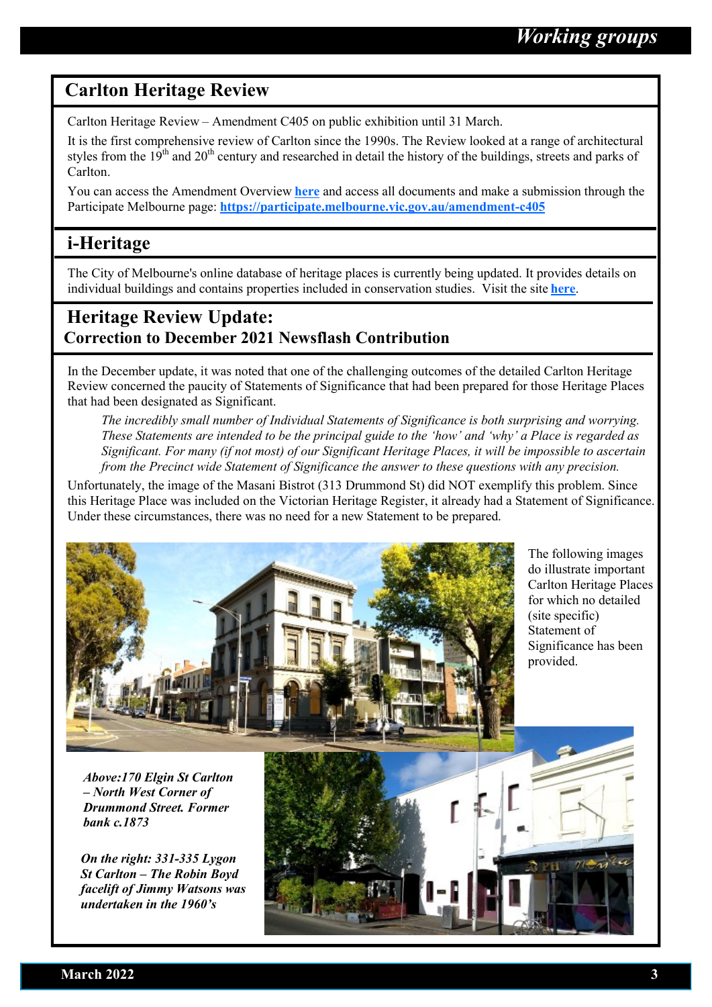### **Carlton Heritage Review**

Carlton Heritage Review – Amendment C405 on public exhibition until 31 March.

It is the first comprehensive review of Carlton since the 1990s. The Review looked at a range of architectural styles from the  $19<sup>th</sup>$  and  $20<sup>th</sup>$  century and researched in detail the history of the buildings, streets and parks of Carlton.

You can access the Amendment Overview **[here](https://participate.melbourne.vic.gov.au/amendment-c405/amendment-overview)** and access all documents and make a submission through the Participate Melbourne page: **[https://participate.melbourne.vic.gov.au/amendment](https://participate.melbourne.vic.gov.au/amendment-c405)-c405**

## **i-Heritage**

The City of Melbourne's online database of heritage places is currently being updated. It provides details on individual buildings and contains properties included in conservation studies. Visit the site **[here](https://www.melbourne.vic.gov.au/building-and-development/heritage-planning/Pages/i-heritage-database.aspx)**.

## **Heritage Review Update: Correction to December 2021 Newsflash Contribution**

In the December update, it was noted that one of the challenging outcomes of the detailed Carlton Heritage Review concerned the paucity of Statements of Significance that had been prepared for those Heritage Places that had been designated as Significant.

*The incredibly small number of Individual Statements of Significance is both surprising and worrying. These Statements are intended to be the principal guide to the 'how' and 'why' a Place is regarded as Significant. For many (if not most) of our Significant Heritage Places, it will be impossible to ascertain from the Precinct wide Statement of Significance the answer to these questions with any precision.* 

Unfortunately, the image of the Masani Bistrot (313 Drummond St) did NOT exemplify this problem. Since this Heritage Place was included on the Victorian Heritage Register, it already had a Statement of Significance. Under these circumstances, there was no need for a new Statement to be prepared.



The following images do illustrate important Carlton Heritage Places for which no detailed (site specific) Statement of Significance has been provided.

*Above:170 Elgin St Carlton – North West Corner of Drummond Street. Former bank c.1873*

*On the right: 331-335 Lygon St Carlton – The Robin Boyd facelift of Jimmy Watsons was undertaken in the 1960's*

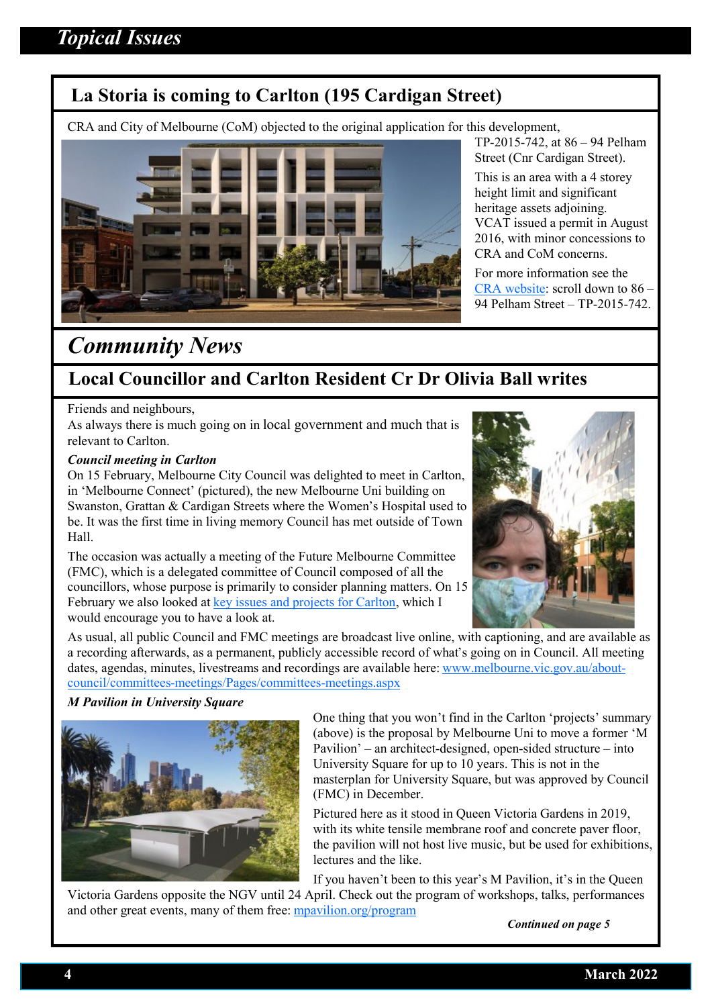## **La Storia is coming to Carlton (195 Cardigan Street)**

CRA and City of Melbourne (CoM) objected to the original application for this development,



TP-2015-742, at 86 – 94 Pelham Street (Cnr Cardigan Street).

This is an area with a 4 storey height limit and significant heritage assets adjoining. VCAT issued a permit in August 2016, with minor concessions to CRA and CoM concerns.

For more information see the [CRA website:](https://www.carltonresidents.org.au/cra-2012/cra-planning-objections-and-vcat-hearings-5/) scroll down to 86 – 94 Pelham Street – TP-2015-742.

## *Community News*

## **Local Councillor and Carlton Resident Cr Dr Olivia Ball writes**

#### Friends and neighbours,

As always there is much going on in local government and much that is relevant to Carlton.

#### *Council meeting in Carlton*

On 15 February, Melbourne City Council was delighted to meet in Carlton, in 'Melbourne Connect' (pictured), the new Melbourne Uni building on Swanston, Grattan & Cardigan Streets where the Women's Hospital used to be. It was the first time in living memory Council has met outside of Town Hall.

The occasion was actually a meeting of the Future Melbourne Committee (FMC), which is a delegated committee of Council composed of all the councillors, whose purpose is primarily to consider planning matters. On 15 February we also looked at [key issues and projects for Carlton,](https://www.melbourne.vic.gov.au/about-council/committees-meetings/meeting-archive/MeetingAgendaItemAttachments/968/17244/FEB22%20FMC2%20AGENDA%20ITEM%206.1.pdf) which I would encourage you to have a look at.



As usual, all public Council and FMC meetings are broadcast live online, with captioning, and are available as a recording afterwards, as a permanent, publicly accessible record of what's going on in Council. All meeting dates, agendas, minutes, livestreams and recordings are available here: [www.melbourne.vic.gov.au/about](http://www.melbourne.vic.gov.au/about-council/committees-meetings/Pages/committees-meetings.aspx)council/committees-[meetings/Pages/committees](http://www.melbourne.vic.gov.au/about-council/committees-meetings/Pages/committees-meetings.aspx)-meetings.aspx

#### *M Pavilion in University Square*



One thing that you won't find in the Carlton 'projects' summary (above) is the proposal by Melbourne Uni to move a former 'M Pavilion' – an architect-designed, open-sided structure – into University Square for up to 10 years. This is not in the masterplan for University Square, but was approved by Council (FMC) in December.

Pictured here as it stood in Queen Victoria Gardens in 2019, with its white tensile membrane roof and concrete paver floor, the pavilion will not host live music, but be used for exhibitions, lectures and the like.

If you haven't been to this year's M Pavilion, it's in the Queen Victoria Gardens opposite the NGV until 24 April. Check out the program of workshops, talks, performances and other great events, many of them free: [mpavilion.org/program](http://mpavilion.org/program) 

*Continued on page 5*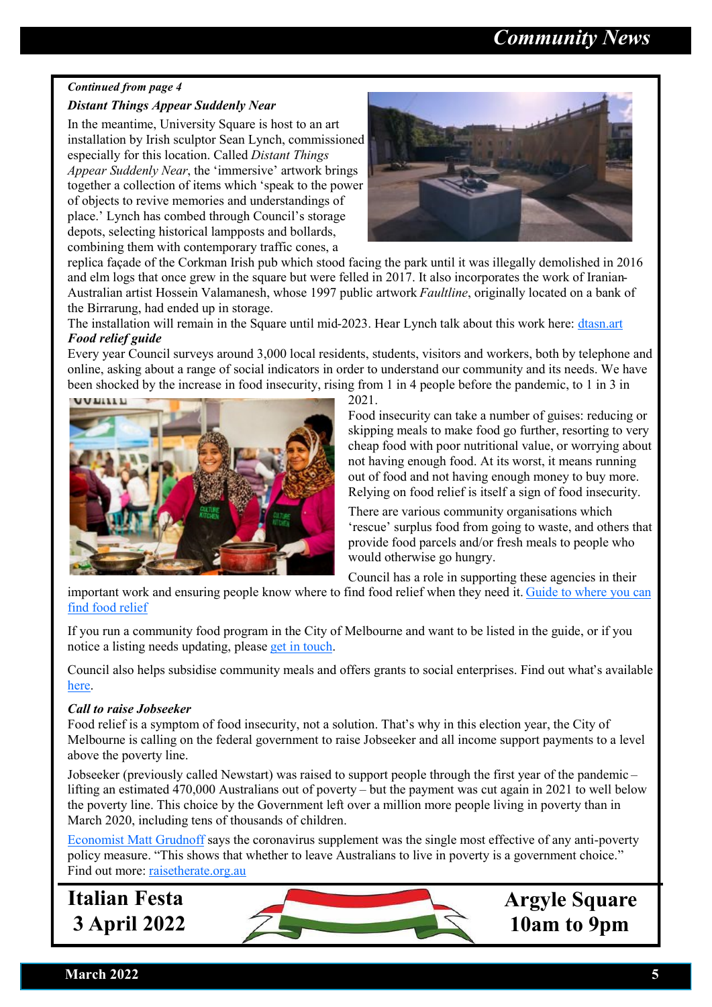## *Community News*

### *Continued from page 4*

#### *Distant Things Appear Suddenly Near*

In the meantime, University Square is host to an art installation by Irish sculptor Sean Lynch, commissioned especially for this location. Called *Distant Things Appear Suddenly Near*, the 'immersive' artwork brings together a collection of items which 'speak to the power of objects to revive memories and understandings of place.' Lynch has combed through Council's storage depots, selecting historical lampposts and bollards, combining them with contemporary traffic cones, a



replica façade of the Corkman Irish pub which stood facing the park until it was illegally demolished in 2016 and elm logs that once grew in the square but were felled in 2017. It also incorporates the work of Iranian-Australian artist Hossein Valamanesh, whose 1997 public artwork *Faultline*, originally located on a bank of the Birrarung, had ended up in storage.

The installation will remain in the Square until mid-2023. Hear Lynch talk about this work here: [dtasn.art](http://dtasn.art/) *Food relief guide*

Every year Council surveys around 3,000 local residents, students, visitors and workers, both by telephone and online, asking about a range of social indicators in order to understand our community and its needs. We have been shocked by the increase in food insecurity, rising from 1 in 4 people before the pandemic, to 1 in 3 in



2021.

Food insecurity can take a number of guises: reducing or skipping meals to make food go further, resorting to very cheap food with poor nutritional value, or worrying about not having enough food. At its worst, it means running out of food and not having enough money to buy more. Relying on food relief is itself a sign of food insecurity.

There are various community organisations which 'rescue' surplus food from going to waste, and others that provide food parcels and/or fresh meals to people who would otherwise go hungry.

Council has a role in supporting these agencies in their

important work and ensuring people know where to find food relief when they need it. [Guide to where you can](http://www.melbourne.vic.gov.au/SiteCollectionDocuments/community-food-guide.pdf)  [find food relief](http://www.melbourne.vic.gov.au/SiteCollectionDocuments/community-food-guide.pdf)

If you run a community food program in the City of Melbourne and want to be listed in the guide, or if you notice a listing needs updating, please [get in touch.](https://www.melbourne.vic.gov.au/community/health-support-services/health-services/pages/community-food-guide.aspx)

Council also helps subsidise community meals and offers grants to social enterprises. Find out what's available [here.](http://www.melbourne.vic.gov.au/community/strong-communities/funding-grants/Pages/community-funding-grants.aspx)

#### *Call to raise Jobseeker*

Food relief is a symptom of food insecurity, not a solution. That's why in this election year, the City of Melbourne is calling on the federal government to raise Jobseeker and all income support payments to a level above the poverty line.

Jobseeker (previously called Newstart) was raised to support people through the first year of the pandemic – lifting an estimated 470,000 Australians out of poverty – but the payment was cut again in 2021 to well below the poverty line. This choice by the Government left over a million more people living in poverty than in March 2020, including tens of thousands of children.

[Economist Matt Grudnoff](https://australiainstitute.org.au/post/cut-to-jobseeker-to-push-further-155000-into-poverty/) says the coronavirus supplement was the single most effective of any anti-poverty policy measure. "This shows that whether to leave Australians to live in poverty is a government choice." Find out more: [raisetherate.org.au](http://raisetherate.org.au/)

**Italian Festa 3 April 2022**



 **Argyle Square 10am to 9pm**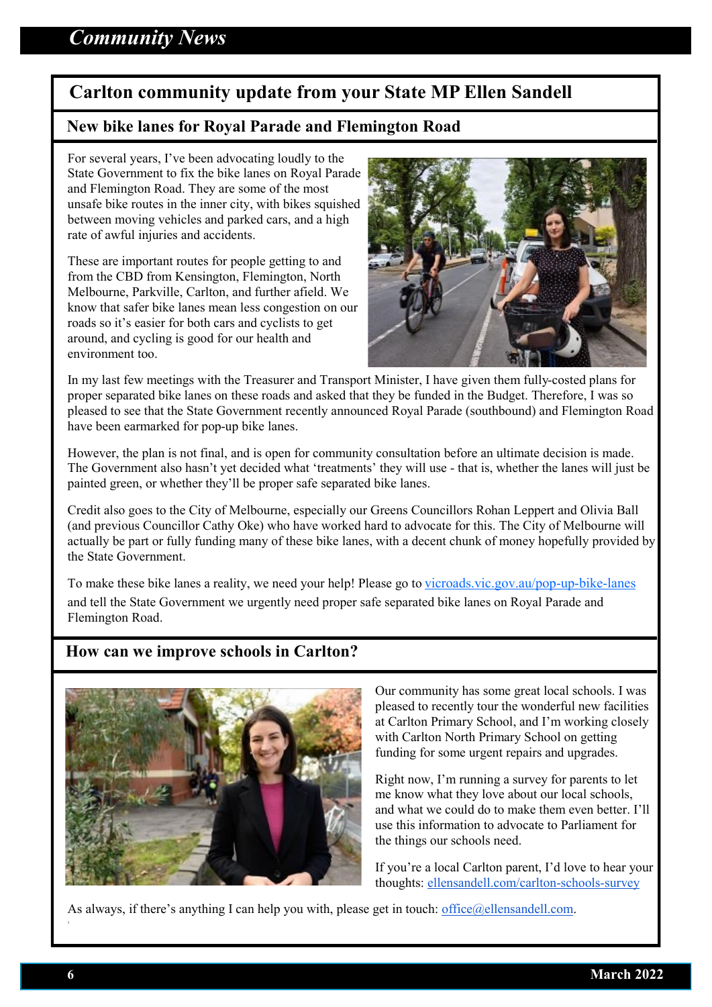## **Carlton community update from your State MP Ellen Sandell**

#### **New bike lanes for Royal Parade and Flemington Road**

For several years, I've been advocating loudly to the State Government to fix the bike lanes on Royal Parade and Flemington Road. They are some of the most unsafe bike routes in the inner city, with bikes squished between moving vehicles and parked cars, and a high rate of awful injuries and accidents.

These are important routes for people getting to and from the CBD from Kensington, Flemington, North Melbourne, Parkville, Carlton, and further afield. We know that safer bike lanes mean less congestion on our roads so it's easier for both cars and cyclists to get around, and cycling is good for our health and environment too.



In my last few meetings with the Treasurer and Transport Minister, I have given them fully-costed plans for proper separated bike lanes on these roads and asked that they be funded in the Budget. Therefore, I was so pleased to see that the State Government recently announced Royal Parade (southbound) and Flemington Road have been earmarked for pop-up bike lanes.

However, the plan is not final, and is open for community consultation before an ultimate decision is made. The Government also hasn't yet decided what 'treatments' they will use - that is, whether the lanes will just be painted green, or whether they'll be proper safe separated bike lanes.

Credit also goes to the City of Melbourne, especially our Greens Councillors Rohan Leppert and Olivia Ball (and previous Councillor Cathy Oke) who have worked hard to advocate for this. The City of Melbourne will actually be part or fully funding many of these bike lanes, with a decent chunk of money hopefully provided by the State Government.

To make these bike lanes a reality, we need your help! Please go to [vicroads.vic.gov.au/pop](https://www.vicroads.vic.gov.au/traffic-and-road-use/cycling/pop-up-bike-lanes)-up-bike-lanes

and tell the State Government we urgently need proper safe separated bike lanes on Royal Parade and Flemington Road.

#### **How can we improve schools in Carlton?**



Our community has some great local schools. I was pleased to recently tour the wonderful new facilities at Carlton Primary School, and I'm working closely with Carlton North Primary School on getting funding for some urgent repairs and upgrades.

Right now, I'm running a survey for parents to let me know what they love about our local schools, and what we could do to make them even better. I'll use this information to advocate to Parliament for the things our schools need.

If you're a local Carlton parent, I'd love to hear your thoughts: [ellensandell.com/carlton](https://www.ellensandell.com/carlton-schools-survey)-schools-survey

As always, if there's anything I can help you with, please get in touch: office $@$ ellensandell.com.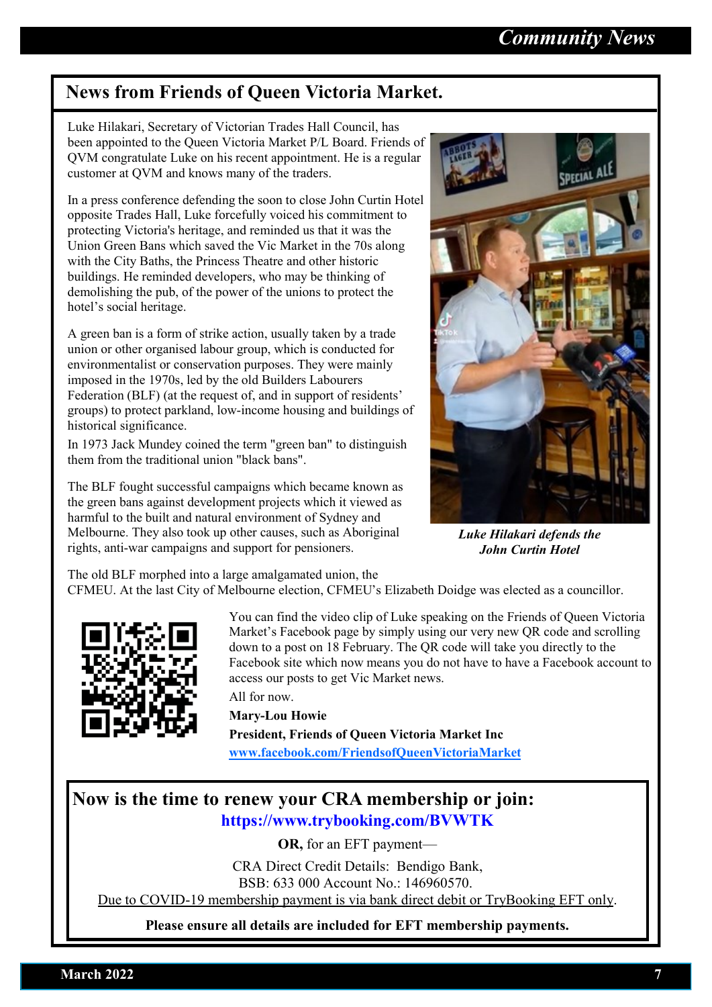## **News from Friends of Queen Victoria Market.**

Luke Hilakari, Secretary of Victorian Trades Hall Council, has been appointed to the Queen Victoria Market P/L Board. Friends of QVM congratulate Luke on his recent appointment. He is a regular customer at QVM and knows many of the traders.

In a press conference defending the soon to close John Curtin Hotel opposite Trades Hall, Luke forcefully voiced his commitment to protecting Victoria's heritage, and reminded us that it was the Union Green Bans which saved the Vic Market in the 70s along with the City Baths, the Princess Theatre and other historic buildings. He reminded developers, who may be thinking of demolishing the pub, of the power of the unions to protect the hotel's social heritage.

A green ban is a form of [strike action,](https://en.wikipedia.org/wiki/Strike_action) usually taken by a trade [union](https://en.wikipedia.org/wiki/Trade_union) or other organised [labour](https://en.wikipedia.org/wiki/Labour_(economics)) group, which is conducted for environmentalist or conservation purposes. They were mainly imposed in the 1970s, led by the old Builders Labourers [Federation](https://en.wikipedia.org/wiki/Builders_Labourers_Federation) (BLF) (at the request of, and in support of residents' groups) to protect [parkland,](https://en.wikipedia.org/wiki/Park) low-income housing and buildings of historical significance.

In 1973 [Jack Mundey c](https://en.wikipedia.org/wiki/Jack_Mundey)oined the term "green ban" to distinguish them from the traditional union "black bans".

The BLF fought successful campaigns which became known as the [green bans](https://en.wikipedia.org/wiki/Green_ban) against development projects which it viewed as harmful to the [built](https://en.wikipedia.org/wiki/Built_environment) and natural environment of Sydney and Melbourne. They also took up other causes, such as Aboriginal rights, anti-war campaigns and support for pensioners.



*Luke Hilakari defends the John Curtin Hotel*

The old BLF morphed into a large amalgamated union, the

CFMEU. At the last City of Melbourne election, CFMEU's Elizabeth Doidge was elected as a councillor.



You can find the video clip of Luke speaking on the Friends of Queen Victoria Market's Facebook page by simply using our very new QR code and scrolling down to a post on 18 February. The QR code will take you directly to the Facebook site which now means you do not have to have a Facebook account to access our posts to get Vic Market news.

All for now.

**Mary-Lou Howie President, Friends of Queen Victoria Market Inc [www.facebook.com/FriendsofQueenVictoriaMarket](http://www.facebook.com/FriendsofQueenVictoriaMarket)**

### **Now is the time to renew your CRA membership or join: https://www.trybooking.com/BVWTK**

**OR,** for an EFT payment—

CRA Direct Credit Details: Bendigo Bank, BSB: 633 000 Account No.: 146960570.

Due to COVID-19 membership payment is via bank direct debit or TryBooking EFT only.

**Please ensure all details are included for EFT membership payments.**